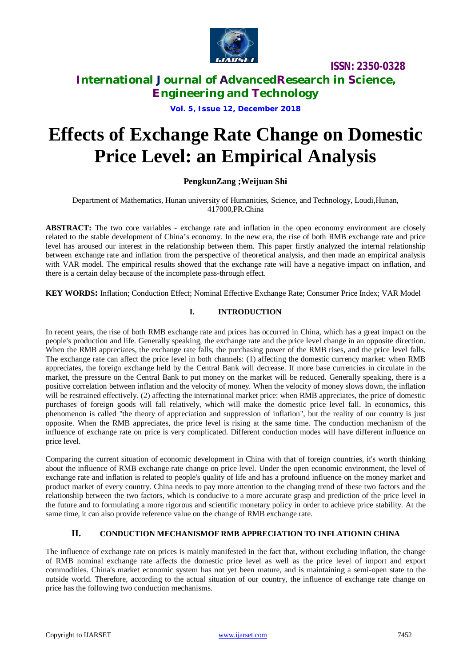

# **International Journal of AdvancedResearch in Science, Engineering and Technology**

**Vol. 5, Issue 12, December 2018**

# **Effects of Exchange Rate Change on Domestic Price Level: an Empirical Analysis**

## **PengkunZang ;Weijuan Shi**

Department of Mathematics, Hunan university of Humanities, Science, and Technology, Loudi,Hunan, 417000,PR.China

**ABSTRACT:** The two core variables - exchange rate and inflation in the open economy environment are closely related to the stable development of China's economy. In the new era, the rise of both RMB exchange rate and price level has aroused our interest in the relationship between them. This paper firstly analyzed the internal relationship between exchange rate and inflation from the perspective of theoretical analysis, and then made an empirical analysis with VAR model. The empirical results showed that the exchange rate will have a negative impact on inflation, and there is a certain delay because of the incomplete pass-through effect.

**KEY WORDS:** Inflation; Conduction Effect; Nominal Effective Exchange Rate; Consumer Price Index; VAR Model

## **I. INTRODUCTION**

In recent years, the rise of both RMB exchange rate and prices has occurred in China, which has a great impact on the people's production and life. Generally speaking, the exchange rate and the price level change in an opposite direction. When the RMB appreciates, the exchange rate falls, the purchasing power of the RMB rises, and the price level falls. The exchange rate can affect the price level in both channels: (1) affecting the domestic currency market: when RMB appreciates, the foreign exchange held by the Central Bank will decrease. If more base currencies in circulate in the market, the pressure on the Central Bank to put money on the market will be reduced. Generally speaking, there is a positive correlation between inflation and the velocity of money. When the velocity of money slows down, the inflation will be restrained effectively. (2) affecting the international market price: when RMB appreciates, the price of domestic purchases of foreign goods will fall relatively, which will make the domestic price level fall. In economics, this phenomenon is called "the theory of appreciation and suppression of inflation", but the reality of our country is just opposite. When the RMB appreciates, the price level is rising at the same time. The conduction mechanism of the influence of exchange rate on price is very complicated. Different conduction modes will have different influence on price level.

Comparing the current situation of economic development in China with that of foreign countries, it's worth thinking about the influence of RMB exchange rate change on price level. Under the open economic environment, the level of exchange rate and inflation is related to people's quality of life and has a profound influence on the money market and product market of every country. China needs to pay more attention to the changing trend of these two factors and the relationship between the two factors, which is conducive to a more accurate grasp and prediction of the price level in the future and to formulating a more rigorous and scientific monetary policy in order to achieve price stability. At the same time, it can also provide reference value on the change of RMB exchange rate.

## **II. CONDUCTION MECHANISMOF RMB APPRECIATION TO INFLATIONIN CHINA**

The influence of exchange rate on prices is mainly manifested in the fact that, without excluding inflation, the change of RMB nominal exchange rate affects the domestic price level as well as the price level of import and export commodities. China's market economic system has not yet been mature, and is maintaining a semi-open state to the outside world. Therefore, according to the actual situation of our country, the influence of exchange rate change on price has the following two conduction mechanisms.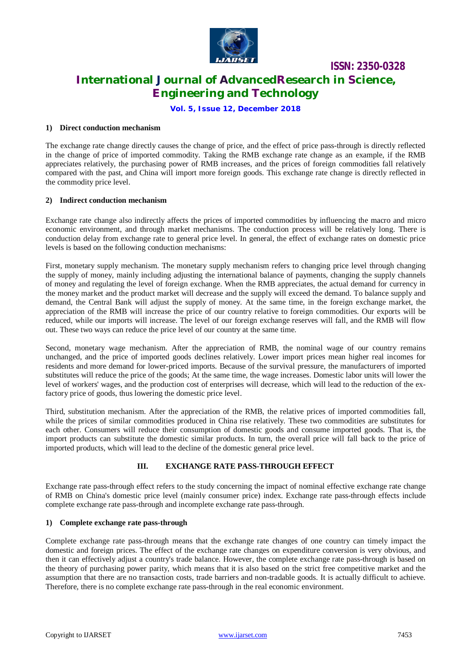

# **International Journal of AdvancedResearch in Science, Engineering and Technology**

**Vol. 5, Issue 12, December 2018**

#### **1) Direct conduction mechanism**

The exchange rate change directly causes the change of price, and the effect of price pass-through is directly reflected in the change of price of imported commodity. Taking the RMB exchange rate change as an example, if the RMB appreciates relatively, the purchasing power of RMB increases, and the prices of foreign commodities fall relatively compared with the past, and China will import more foreign goods. This exchange rate change is directly reflected in the commodity price level.

#### **2) Indirect conduction mechanism**

Exchange rate change also indirectly affects the prices of imported commodities by influencing the macro and micro economic environment, and through market mechanisms. The conduction process will be relatively long. There is conduction delay from exchange rate to general price level. In general, the effect of exchange rates on domestic price levels is based on the following conduction mechanisms:

First, monetary supply mechanism. The monetary supply mechanism refers to changing price level through changing the supply of money, mainly including adjusting the international balance of payments, changing the supply channels of money and regulating the level of foreign exchange. When the RMB appreciates, the actual demand for currency in the money market and the product market will decrease and the supply will exceed the demand. To balance supply and demand, the Central Bank will adjust the supply of money. At the same time, in the foreign exchange market, the appreciation of the RMB will increase the price of our country relative to foreign commodities. Our exports will be reduced, while our imports will increase. The level of our foreign exchange reserves will fall, and the RMB will flow out. These two ways can reduce the price level of our country at the same time.

Second, monetary wage mechanism. After the appreciation of RMB, the nominal wage of our country remains unchanged, and the price of imported goods declines relatively. Lower import prices mean higher real incomes for residents and more demand for lower-priced imports. Because of the survival pressure, the manufacturers of imported substitutes will reduce the price of the goods; At the same time, the wage increases. Domestic labor units will lower the level of workers' wages, and the production cost of enterprises will decrease, which will lead to the reduction of the exfactory price of goods, thus lowering the domestic price level.

Third, substitution mechanism. After the appreciation of the RMB, the relative prices of imported commodities fall, while the prices of similar commodities produced in China rise relatively. These two commodities are substitutes for each other. Consumers will reduce their consumption of domestic goods and consume imported goods. That is, the import products can substitute the domestic similar products. In turn, the overall price will fall back to the price of imported products, which will lead to the decline of the domestic general price level.

#### **III. EXCHANGE RATE PASS-THROUGH EFFECT**

Exchange rate pass-through effect refers to the study concerning the impact of nominal effective exchange rate change of RMB on China's domestic price level (mainly consumer price) index. Exchange rate pass-through effects include complete exchange rate pass-through and incomplete exchange rate pass-through.

#### **1) Complete exchange rate pass-through**

Complete exchange rate pass-through means that the exchange rate changes of one country can timely impact the domestic and foreign prices. The effect of the exchange rate changes on expenditure conversion is very obvious, and then it can effectively adjust a country's trade balance. However, the complete exchange rate pass-through is based on the theory of purchasing power parity, which means that it is also based on the strict free competitive market and the assumption that there are no transaction costs, trade barriers and non-tradable goods. It is actually difficult to achieve. Therefore, there is no complete exchange rate pass-through in the real economic environment.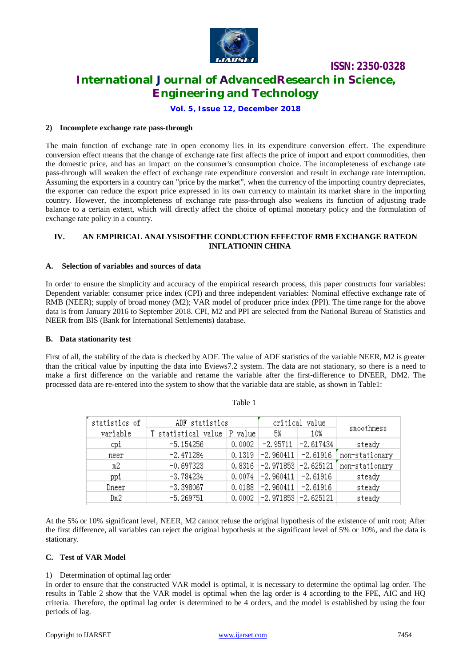

# **International Journal of AdvancedResearch in Science, Engineering and Technology**

**Vol. 5, Issue 12, December 2018**

#### **2) Incomplete exchange rate pass-through**

The main function of exchange rate in open economy lies in its expenditure conversion effect. The expenditure conversion effect means that the change of exchange rate first affects the price of import and export commodities, then the domestic price, and has an impact on the consumer's consumption choice. The incompleteness of exchange rate pass-through will weaken the effect of exchange rate expenditure conversion and result in exchange rate interruption. Assuming the exporters in a country can "price by the market", when the currency of the importing country depreciates, the exporter can reduce the export price expressed in its own currency to maintain its market share in the importing country. However, the incompleteness of exchange rate pass-through also weakens its function of adjusting trade balance to a certain extent, which will directly affect the choice of optimal monetary policy and the formulation of exchange rate policy in a country.

#### **IV. AN EMPIRICAL ANALYSISOFTHE CONDUCTION EFFECTOF RMB EXCHANGE RATEON INFLATIONIN CHINA**

#### **A. Selection of variables and sources of data**

In order to ensure the simplicity and accuracy of the empirical research process, this paper constructs four variables: Dependent variable: consumer price index (CPI) and three independent variables: Nominal effective exchange rate of RMB (NEER); supply of broad money (M2); VAR model of producer price index (PPI). The time range for the above data is from January 2016 to September 2018. CPI, M2 and PPI are selected from the National Bureau of Statistics and NEER from BIS (Bank for International Settlements) database.

#### **B. Data stationarity test**

First of all, the stability of the data is checked by ADF. The value of ADF statistics of the variable NEER, M2 is greater than the critical value by inputting the data into Eviews7.2 system. The data are not stationary, so there is a need to make a first difference on the variable and rename the variable after the first-difference to DNEER, DM2. The processed data are re-entered into the system to show that the variable data are stable, as shown in Table1:

| statistics of | ADF statistics      |         | critical value                   |                        |                |  |
|---------------|---------------------|---------|----------------------------------|------------------------|----------------|--|
| variable      | T statistical value | P value | 5%                               | 10%                    | smoothness     |  |
| cpi           | $-5.154256$         | 0.0002  |                                  | $-2.95711$ $-2.617434$ | steady         |  |
| neer          | $-2.471284$         |         | $0.1319$ -2.960411 -2.61916      |                        | non-stationary |  |
| m2            | $-0.697323$         |         | $0.8316$ -2.971853 -2.625121     |                        | non-stationary |  |
| ppi           | $-3.784234$         |         | $0.0074$   -2.960411   -2.61916  |                        | steady         |  |
| Dneer         | $-3.398067$         | 0.0188  | $-2.960411$ $-2.61916$           |                        | steady         |  |
| Dm2           | $-5.269751$         |         | $0.0002$   -2.971853   -2.625121 |                        | steady         |  |

Table 1

At the 5% or 10% significant level, NEER, M2 cannot refuse the original hypothesis of the existence of unit root; After the first difference, all variables can reject the original hypothesis at the significant level of 5% or 10%, and the data is stationary.

#### **C. Test of VAR Model**

#### 1) Determination of optimal lag order

In order to ensure that the constructed VAR model is optimal, it is necessary to determine the optimal lag order. The results in Table 2 show that the VAR model is optimal when the lag order is 4 according to the FPE, AIC and HQ criteria. Therefore, the optimal lag order is determined to be 4 orders, and the model is established by using the four periods of lag.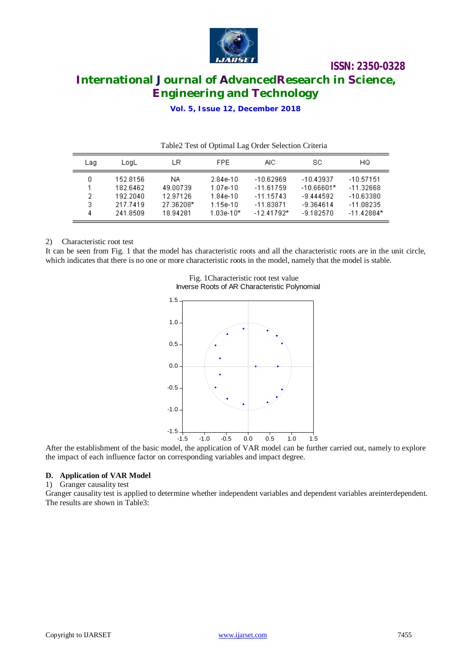

# **International Journal of AdvancedResearch in Science, Engineering and Technology**

**Vol. 5, Issue 12, December 2018**

| Table2 Test of Optimal Lag Order Selection Criteria |                                              |                                          |                                                    |                                                          |                                                           |                                                          |
|-----------------------------------------------------|----------------------------------------------|------------------------------------------|----------------------------------------------------|----------------------------------------------------------|-----------------------------------------------------------|----------------------------------------------------------|
| Laq                                                 | LogL                                         | LR                                       | FPE.                                               | AIC.                                                     | sc                                                        | HQ                                                       |
| 0.<br>2.<br>3.                                      | 152.8156<br>182.6462<br>192.2040<br>217.7419 | NA.<br>49.00739<br>12.97126<br>27.36208* | $2.84e-10$<br>1.07e-10<br>$1.84e-10$<br>$1.15e-10$ | $-10.62969$<br>$-11.61759$<br>$-11.15743$<br>$-11.83871$ | $-10.43937$<br>$-10.66601*$<br>$-9.444592$<br>$-9.364614$ | $-10.57151$<br>$-11.32668$<br>$-10.63380$<br>$-11.08235$ |
| 4                                                   | 241.8509                                     | 18.94281                                 | $1.03e-10*$                                        | $-12.41792*$                                             | $-9.182570$                                               | $-11.42884*$                                             |

#### 2) Characteristic root test

It can be seen from Fig. 1 that the model has characteristic roots and all the characteristic roots are in the unit circle, which indicates that there is no one or more characteristic roots in the model, namely that the model is stable.



Fig. 1Characteristic root test value Inverse Roots of AR Characteristic Polynomial

After the establishment of the basic model, the application of VAR model can be further carried out, namely to explore the impact of each influence factor on corresponding variables and impact degree.

#### **D. Application of VAR Model**

1) Granger causality test

Granger causality test is applied to determine whether independent variables and dependent variables areinterdependent. The results are shown in Table3: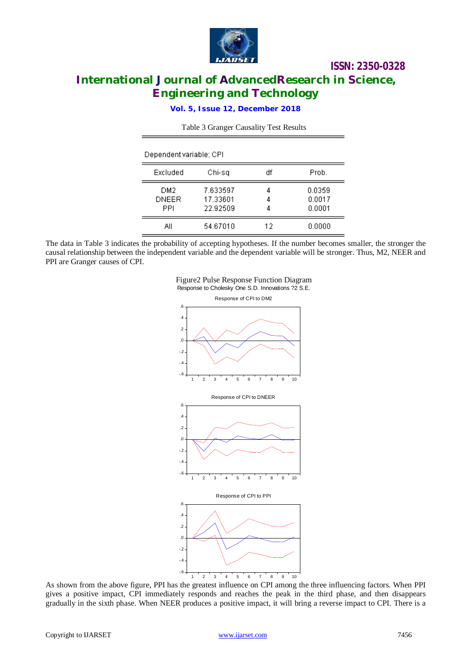

# **International Journal of AdvancedResearch in Science, Engineering and Technology**

**Vol. 5, Issue 12, December 2018**

| Dependent variable: CPI    |                                  |             |                            |  |  |
|----------------------------|----------------------------------|-------------|----------------------------|--|--|
| Excluded                   | Chi-sa                           | df          | Prob.                      |  |  |
| DM2<br><b>DNEER</b><br>PPI | 7.633597<br>17.33601<br>22.92509 | 4<br>4<br>4 | 0.0359<br>0.0017<br>0.0001 |  |  |
| All                        | 54.67010                         | 12          | 0.0000                     |  |  |

Table 3 Granger Causality Test Results

The data in Table 3 indicates the probability of accepting hypotheses. If the number becomes smaller, the stronger the causal relationship between the independent variable and the dependent variable will be stronger. Thus, M2, NEER and PPI are Granger causes of CPI.





As shown from the above figure, PPI has the greatest influence on CPI among the three influencing factors. When PPI gives a positive impact, CPI immediately responds and reaches the peak in the third phase, and then disappears gradually in the sixth phase. When NEER produces a positive impact, it will bring a reverse impact to CPI. There is a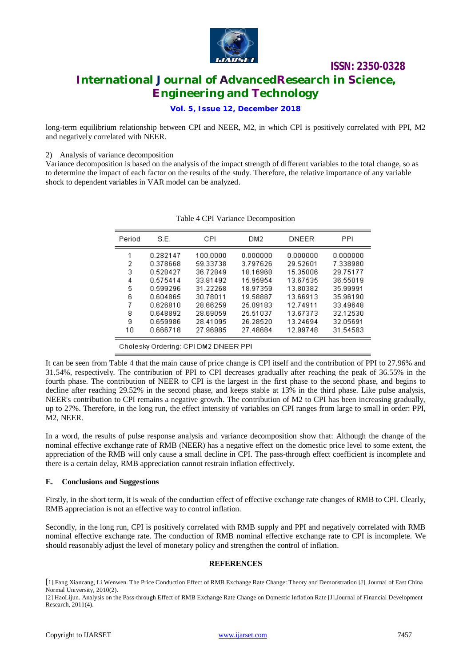

**International Journal of AdvancedResearch in Science, Engineering and Technology**

### **Vol. 5, Issue 12, December 2018**

long-term equilibrium relationship between CPI and NEER, M2, in which CPI is positively correlated with PPI, M2 and negatively correlated with NEER.

#### 2) Analysis of variance decomposition

Variance decomposition is based on the analysis of the impact strength of different variables to the total change, so as to determine the impact of each factor on the results of the study. Therefore, the relative importance of any variable shock to dependent variables in VAR model can be analyzed.

| Period                               | S.E.     | CPI      | DM2      | <b>DNEER</b> | PPI      |
|--------------------------------------|----------|----------|----------|--------------|----------|
|                                      | 0.282147 | 100.0000 | 0.000000 | 0.000000     | 0.000000 |
| 2                                    | 0.378668 | 59.33738 | 3.797626 | 29.52601     | 7.338980 |
| 3                                    | 0.528427 | 36.72849 | 18.16968 | 15.35006     | 29.75177 |
| 4                                    | 0.575414 | 33.81492 | 15.95954 | 13.67535     | 36.55019 |
| 5                                    | 0.599296 | 31.22268 | 18.97359 | 13.80382     | 35.99991 |
| 6                                    | 0.604865 | 30.78011 | 19.58887 | 13.66913     | 35.96190 |
| 7                                    | 0.626810 | 28.66259 | 25.09183 | 12.74911     | 33.49648 |
| 8                                    | 0.648892 | 28.69059 | 25.51037 | 13.67373     | 32.12530 |
| 9                                    | 0.659986 | 28.41095 | 26.28520 | 13.24694     | 32.05691 |
| 10                                   | 0.666718 | 27.96985 | 27.48684 | 12.99748     | 31.54583 |
| Cholesky Ordering: CPI DM2 DNEER PPI |          |          |          |              |          |

#### Table 4 CPI Variance Decomposition

It can be seen from Table 4 that the main cause of price change is CPI itself and the contribution of PPI to 27.96% and 31.54%, respectively. The contribution of PPI to CPI decreases gradually after reaching the peak of 36.55% in the fourth phase. The contribution of NEER to CPI is the largest in the first phase to the second phase, and begins to decline after reaching 29.52% in the second phase, and keeps stable at 13% in the third phase. Like pulse analysis, NEER's contribution to CPI remains a negative growth. The contribution of M2 to CPI has been increasing gradually, up to 27%. Therefore, in the long run, the effect intensity of variables on CPI ranges from large to small in order: PPI, M2, NEER.

In a word, the results of pulse response analysis and variance decomposition show that: Although the change of the nominal effective exchange rate of RMB (NEER) has a negative effect on the domestic price level to some extent, the appreciation of the RMB will only cause a small decline in CPI. The pass-through effect coefficient is incomplete and there is a certain delay, RMB appreciation cannot restrain inflation effectively.

#### **E. Conclusions and Suggestions**

Firstly, in the short term, it is weak of the conduction effect of effective exchange rate changes of RMB to CPI. Clearly, RMB appreciation is not an effective way to control inflation.

Secondly, in the long run, CPI is positively correlated with RMB supply and PPI and negatively correlated with RMB nominal effective exchange rate. The conduction of RMB nominal effective exchange rate to CPI is incomplete. We should reasonably adjust the level of monetary policy and strengthen the control of inflation.

#### **REFERENCES**

<sup>[</sup>1] Fang Xiancang, Li Wenwen. The Price Conduction Effect of RMB Exchange Rate Change: Theory and Demonstration [J]. Journal of East China Normal University, 2010(2).

<sup>[2]</sup> HaoLijun. Analysis on the Pass-through Effect of RMB Exchange Rate Change on Domestic Inflation Rate [J].Journal of Financial Development Research, 2011(4).